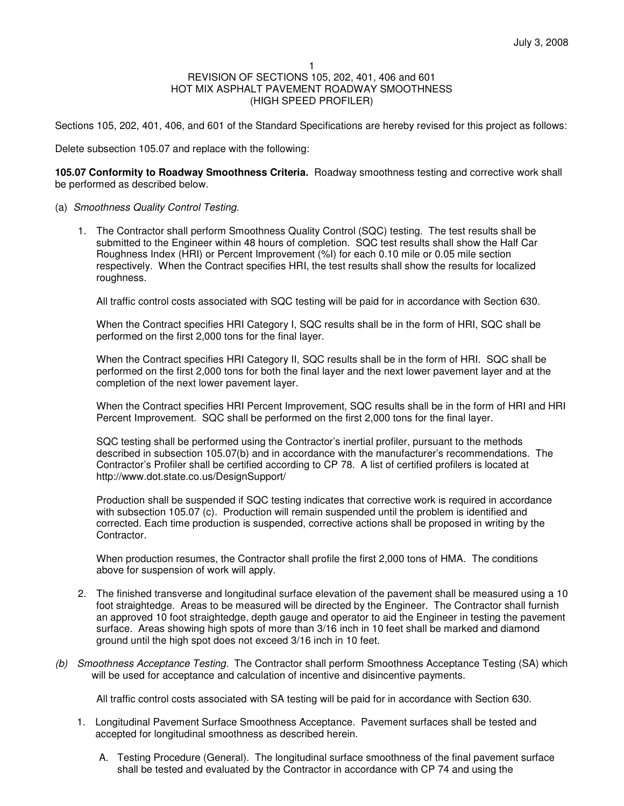Sections 105, 202, 401, 406, and 601 of the Standard Specifications are hereby revised for this project as follows:

Delete subsection 105.07 and replace with the following:

**105.07 Conformity to Roadway Smoothness Criteria.** Roadway smoothness testing and corrective work shall be performed as described below.

- (a) Smoothness Quality Control Testing.
	- 1. The Contractor shall perform Smoothness Quality Control (SQC) testing. The test results shall be submitted to the Engineer within 48 hours of completion. SQC test results shall show the Half Car Roughness Index (HRI) or Percent Improvement (%I) for each 0.10 mile or 0.05 mile section respectively. When the Contract specifies HRI, the test results shall show the results for localized roughness.

All traffic control costs associated with SQC testing will be paid for in accordance with Section 630.

When the Contract specifies HRI Category I, SQC results shall be in the form of HRI, SQC shall be performed on the first 2,000 tons for the final layer.

When the Contract specifies HRI Category II, SQC results shall be in the form of HRI. SQC shall be performed on the first 2,000 tons for both the final layer and the next lower pavement layer and at the completion of the next lower pavement layer.

When the Contract specifies HRI Percent Improvement, SQC results shall be in the form of HRI and HRI Percent Improvement. SQC shall be performed on the first 2,000 tons for the final layer.

SQC testing shall be performed using the Contractor's inertial profiler, pursuant to the methods described in subsection 105.07(b) and in accordance with the manufacturer's recommendations. The Contractor's Profiler shall be certified according to CP 78. A list of certified profilers is located at http://www.dot.state.co.us/DesignSupport/

Production shall be suspended if SQC testing indicates that corrective work is required in accordance with subsection 105.07 (c). Production will remain suspended until the problem is identified and corrected. Each time production is suspended, corrective actions shall be proposed in writing by the Contractor.

When production resumes, the Contractor shall profile the first 2,000 tons of HMA. The conditions above for suspension of work will apply.

- 2. The finished transverse and longitudinal surface elevation of the pavement shall be measured using a 10 foot straightedge. Areas to be measured will be directed by the Engineer. The Contractor shall furnish an approved 10 foot straightedge, depth gauge and operator to aid the Engineer in testing the pavement surface. Areas showing high spots of more than 3/16 inch in 10 feet shall be marked and diamond ground until the high spot does not exceed 3/16 inch in 10 feet.
- (b) Smoothness Acceptance Testing. The Contractor shall perform Smoothness Acceptance Testing (SA) which will be used for acceptance and calculation of incentive and disincentive payments.

All traffic control costs associated with SA testing will be paid for in accordance with Section 630.

- 1. Longitudinal Pavement Surface Smoothness Acceptance. Pavement surfaces shall be tested and accepted for longitudinal smoothness as described herein.
	- A. Testing Procedure (General). The longitudinal surface smoothness of the final pavement surface shall be tested and evaluated by the Contractor in accordance with CP 74 and using the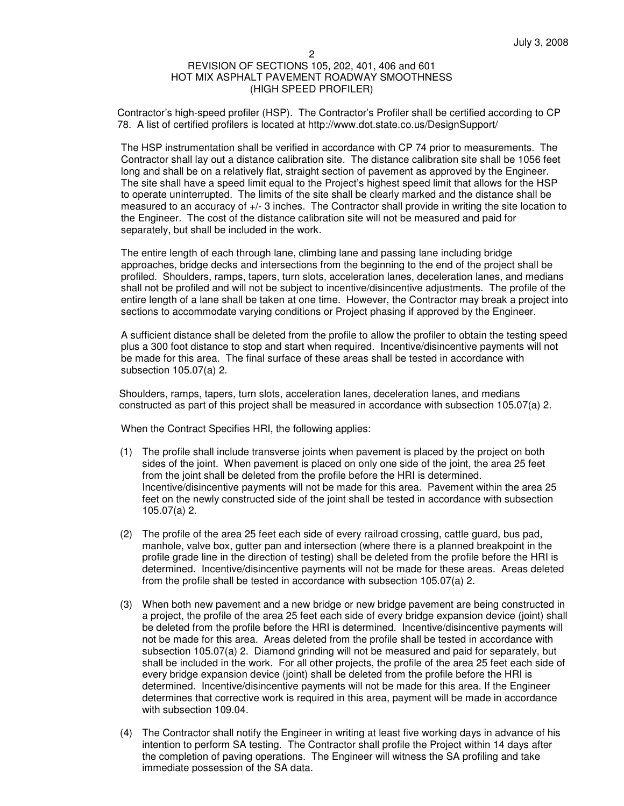Contractor's high-speed profiler (HSP). The Contractor's Profiler shall be certified according to CP 78. A list of certified profilers is located at http://www.dot.state.co.us/DesignSupport/

The HSP instrumentation shall be verified in accordance with CP 74 prior to measurements. The Contractor shall lay out a distance calibration site. The distance calibration site shall be 1056 feet long and shall be on a relatively flat, straight section of pavement as approved by the Engineer. The site shall have a speed limit equal to the Project's highest speed limit that allows for the HSP to operate uninterrupted. The limits of the site shall be clearly marked and the distance shall be measured to an accuracy of +/- 3 inches. The Contractor shall provide in writing the site location to the Engineer. The cost of the distance calibration site will not be measured and paid for separately, but shall be included in the work.

The entire length of each through lane, climbing lane and passing lane including bridge approaches, bridge decks and intersections from the beginning to the end of the project shall be profiled. Shoulders, ramps, tapers, turn slots, acceleration lanes, deceleration lanes, and medians shall not be profiled and will not be subject to incentive/disincentive adjustments. The profile of the entire length of a lane shall be taken at one time. However, the Contractor may break a project into sections to accommodate varying conditions or Project phasing if approved by the Engineer.

A sufficient distance shall be deleted from the profile to allow the profiler to obtain the testing speed plus a 300 foot distance to stop and start when required. Incentive/disincentive payments will not be made for this area. The final surface of these areas shall be tested in accordance with subsection 105.07(a) 2.

Shoulders, ramps, tapers, turn slots, acceleration lanes, deceleration lanes, and medians constructed as part of this project shall be measured in accordance with subsection 105.07(a) 2.

When the Contract Specifies HRI, the following applies:

- (1) The profile shall include transverse joints when pavement is placed by the project on both sides of the joint. When pavement is placed on only one side of the joint, the area 25 feet from the joint shall be deleted from the profile before the HRI is determined. Incentive/disincentive payments will not be made for this area. Pavement within the area 25 feet on the newly constructed side of the joint shall be tested in accordance with subsection 105.07(a) 2.
- (2) The profile of the area 25 feet each side of every railroad crossing, cattle guard, bus pad, manhole, valve box, gutter pan and intersection (where there is a planned breakpoint in the profile grade line in the direction of testing) shall be deleted from the profile before the HRI is determined. Incentive/disincentive payments will not be made for these areas. Areas deleted from the profile shall be tested in accordance with subsection 105.07(a) 2.
- (3) When both new pavement and a new bridge or new bridge pavement are being constructed in a project, the profile of the area 25 feet each side of every bridge expansion device (joint) shall be deleted from the profile before the HRI is determined. Incentive/disincentive payments will not be made for this area. Areas deleted from the profile shall be tested in accordance with subsection 105.07(a) 2. Diamond grinding will not be measured and paid for separately, but shall be included in the work. For all other projects, the profile of the area 25 feet each side of every bridge expansion device (joint) shall be deleted from the profile before the HRI is determined. Incentive/disincentive payments will not be made for this area. If the Engineer determines that corrective work is required in this area, payment will be made in accordance with subsection 109.04.
- (4) The Contractor shall notify the Engineer in writing at least five working days in advance of his intention to perform SA testing. The Contractor shall profile the Project within 14 days after the completion of paving operations. The Engineer will witness the SA profiling and take immediate possession of the SA data.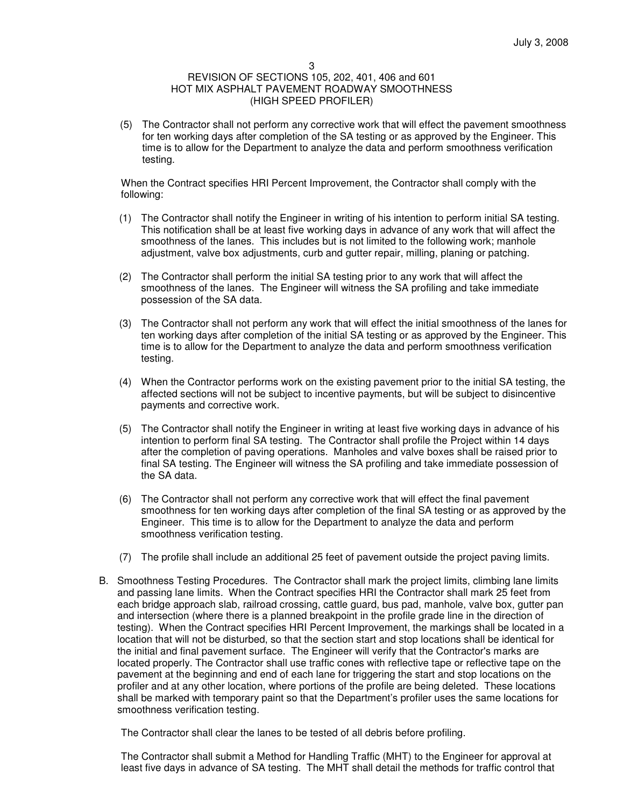#### 3

# REVISION OF SECTIONS 105, 202, 401, 406 and 601 HOT MIX ASPHALT PAVEMENT ROADWAY SMOOTHNESS (HIGH SPEED PROFILER)

(5) The Contractor shall not perform any corrective work that will effect the pavement smoothness for ten working days after completion of the SA testing or as approved by the Engineer. This time is to allow for the Department to analyze the data and perform smoothness verification testing.

When the Contract specifies HRI Percent Improvement, the Contractor shall comply with the following:

- (1) The Contractor shall notify the Engineer in writing of his intention to perform initial SA testing. This notification shall be at least five working days in advance of any work that will affect the smoothness of the lanes. This includes but is not limited to the following work; manhole adjustment, valve box adjustments, curb and gutter repair, milling, planing or patching.
- (2) The Contractor shall perform the initial SA testing prior to any work that will affect the smoothness of the lanes. The Engineer will witness the SA profiling and take immediate possession of the SA data.
- (3) The Contractor shall not perform any work that will effect the initial smoothness of the lanes for ten working days after completion of the initial SA testing or as approved by the Engineer. This time is to allow for the Department to analyze the data and perform smoothness verification testing.
- (4) When the Contractor performs work on the existing pavement prior to the initial SA testing, the affected sections will not be subject to incentive payments, but will be subject to disincentive payments and corrective work.
- (5) The Contractor shall notify the Engineer in writing at least five working days in advance of his intention to perform final SA testing. The Contractor shall profile the Project within 14 days after the completion of paving operations. Manholes and valve boxes shall be raised prior to final SA testing. The Engineer will witness the SA profiling and take immediate possession of the SA data.
- (6) The Contractor shall not perform any corrective work that will effect the final pavement smoothness for ten working days after completion of the final SA testing or as approved by the Engineer. This time is to allow for the Department to analyze the data and perform smoothness verification testing.
- (7) The profile shall include an additional 25 feet of pavement outside the project paving limits.
- B. Smoothness Testing Procedures. The Contractor shall mark the project limits, climbing lane limits and passing lane limits. When the Contract specifies HRI the Contractor shall mark 25 feet from each bridge approach slab, railroad crossing, cattle guard, bus pad, manhole, valve box, gutter pan and intersection (where there is a planned breakpoint in the profile grade line in the direction of testing). When the Contract specifies HRI Percent Improvement, the markings shall be located in a location that will not be disturbed, so that the section start and stop locations shall be identical for the initial and final pavement surface. The Engineer will verify that the Contractor's marks are located properly. The Contractor shall use traffic cones with reflective tape or reflective tape on the pavement at the beginning and end of each lane for triggering the start and stop locations on the profiler and at any other location, where portions of the profile are being deleted. These locations shall be marked with temporary paint so that the Department's profiler uses the same locations for smoothness verification testing.

The Contractor shall clear the lanes to be tested of all debris before profiling.

The Contractor shall submit a Method for Handling Traffic (MHT) to the Engineer for approval at least five days in advance of SA testing. The MHT shall detail the methods for traffic control that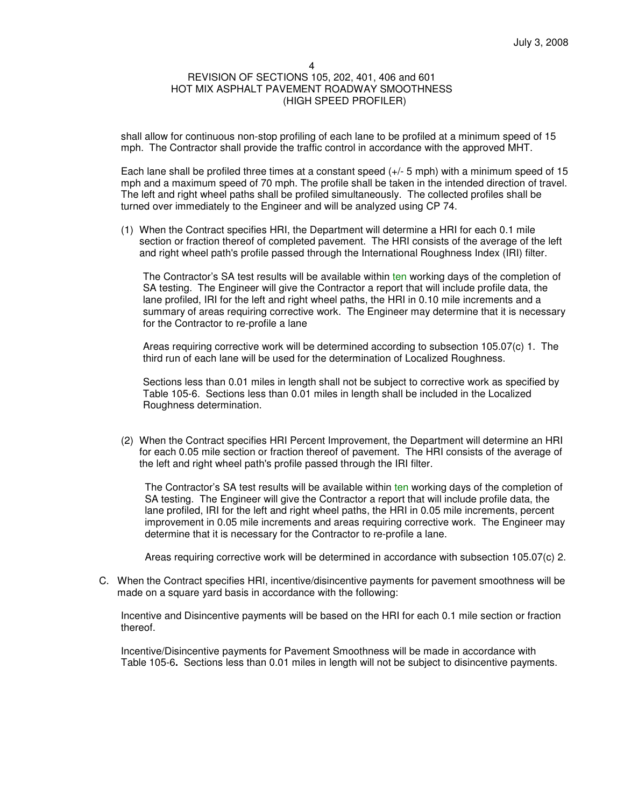shall allow for continuous non-stop profiling of each lane to be profiled at a minimum speed of 15 mph. The Contractor shall provide the traffic control in accordance with the approved MHT.

Each lane shall be profiled three times at a constant speed  $(+/- 5$  mph) with a minimum speed of 15 mph and a maximum speed of 70 mph. The profile shall be taken in the intended direction of travel. The left and right wheel paths shall be profiled simultaneously. The collected profiles shall be turned over immediately to the Engineer and will be analyzed using CP 74.

(1) When the Contract specifies HRI, the Department will determine a HRI for each 0.1 mile section or fraction thereof of completed pavement. The HRI consists of the average of the left and right wheel path's profile passed through the International Roughness Index (IRI) filter.

The Contractor's SA test results will be available within ten working days of the completion of SA testing. The Engineer will give the Contractor a report that will include profile data, the lane profiled, IRI for the left and right wheel paths, the HRI in 0.10 mile increments and a summary of areas requiring corrective work. The Engineer may determine that it is necessary for the Contractor to re-profile a lane

Areas requiring corrective work will be determined according to subsection 105.07(c) 1. The third run of each lane will be used for the determination of Localized Roughness.

Sections less than 0.01 miles in length shall not be subject to corrective work as specified by Table 105-6. Sections less than 0.01 miles in length shall be included in the Localized Roughness determination.

(2) When the Contract specifies HRI Percent Improvement, the Department will determine an HRI for each 0.05 mile section or fraction thereof of pavement. The HRI consists of the average of the left and right wheel path's profile passed through the IRI filter.

The Contractor's SA test results will be available within ten working days of the completion of SA testing. The Engineer will give the Contractor a report that will include profile data, the lane profiled, IRI for the left and right wheel paths, the HRI in 0.05 mile increments, percent improvement in 0.05 mile increments and areas requiring corrective work. The Engineer may determine that it is necessary for the Contractor to re-profile a lane.

Areas requiring corrective work will be determined in accordance with subsection 105.07(c) 2.

C. When the Contract specifies HRI, incentive/disincentive payments for pavement smoothness will be made on a square yard basis in accordance with the following:

Incentive and Disincentive payments will be based on the HRI for each 0.1 mile section or fraction thereof.

Incentive/Disincentive payments for Pavement Smoothness will be made in accordance with Table 105-6**.** Sections less than 0.01 miles in length will not be subject to disincentive payments.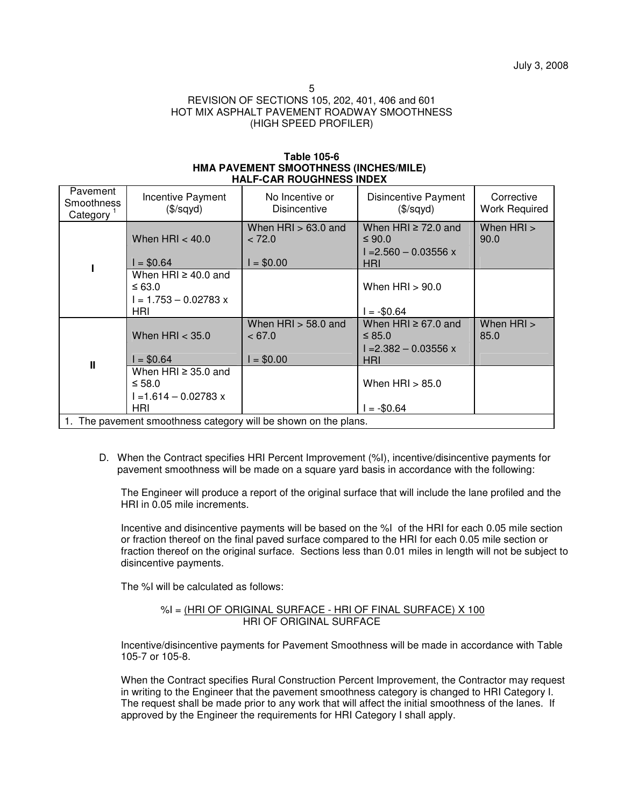5

# REVISION OF SECTIONS 105, 202, 401, 406 and 601 HOT MIX ASPHALT PAVEMENT ROADWAY SMOOTHNESS (HIGH SPEED PROFILER)

#### **Table 105-6 HMA PAVEMENT SMOOTHNESS (INCHES/MILE) HALF-CAR ROUGHNESS INDEX**

| Pavement<br>Smoothness<br>Category                              | Incentive Payment<br>(\$/sqyd)                                          | No Incentive or<br><b>Disincentive</b>       | <b>Disincentive Payment</b><br>(\$/sqyd)                             | Corrective<br><b>Work Required</b> |
|-----------------------------------------------------------------|-------------------------------------------------------------------------|----------------------------------------------|----------------------------------------------------------------------|------------------------------------|
|                                                                 | When $HRI < 40.0$<br>$I = $0.64$                                        | When $HRI > 63.0$ and<br>< 72.0<br>$= $0.00$ | When HRI $\geq$ 72.0 and<br>≤ 90.0<br>$I = 2.560 - 0.03556$ x<br>HRI | When HRI ><br>90.0                 |
|                                                                 | When HRI $\geq$ 40.0 and<br>$\leq 63.0$<br>l = 1.753 – 0.02783 x<br>HRI |                                              | When $HRI > 90.0$<br>l = -\$0.64                                     |                                    |
| $\mathbf{I}$                                                    | When $HRI < 35.0$<br>$I = $0.64$                                        | When $HRI > 58.0$ and<br>< 67.0<br>$= $0.00$ | When HRI $\geq$ 67.0 and<br>≤ 85.0<br>$I = 2.382 - 0.03556$ x<br>HRI | When HRI ><br>85.0                 |
|                                                                 | When HRI $\geq$ 35.0 and<br>$\leq 58.0$<br>l =1.614 – 0.02783 x<br>HRI  |                                              | When $HRI > 85.0$<br>$= -\$0.64$                                     |                                    |
| 1. The pavement smoothness category will be shown on the plans. |                                                                         |                                              |                                                                      |                                    |

D. When the Contract specifies HRI Percent Improvement (%I), incentive/disincentive payments for pavement smoothness will be made on a square yard basis in accordance with the following:

The Engineer will produce a report of the original surface that will include the lane profiled and the HRI in 0.05 mile increments.

Incentive and disincentive payments will be based on the %I of the HRI for each 0.05 mile section or fraction thereof on the final paved surface compared to the HRI for each 0.05 mile section or fraction thereof on the original surface. Sections less than 0.01 miles in length will not be subject to disincentive payments.

The %I will be calculated as follows:

$$
\%I = \frac{(HRI OF ORIGINAL SURFACE - HRI OF FINAL SURFACE) \times 100}{HRI OF ORIGINAL SURFACE}
$$

Incentive/disincentive payments for Pavement Smoothness will be made in accordance with Table 105-7 or 105-8.

When the Contract specifies Rural Construction Percent Improvement, the Contractor may request in writing to the Engineer that the pavement smoothness category is changed to HRI Category I. The request shall be made prior to any work that will affect the initial smoothness of the lanes. If approved by the Engineer the requirements for HRI Category I shall apply.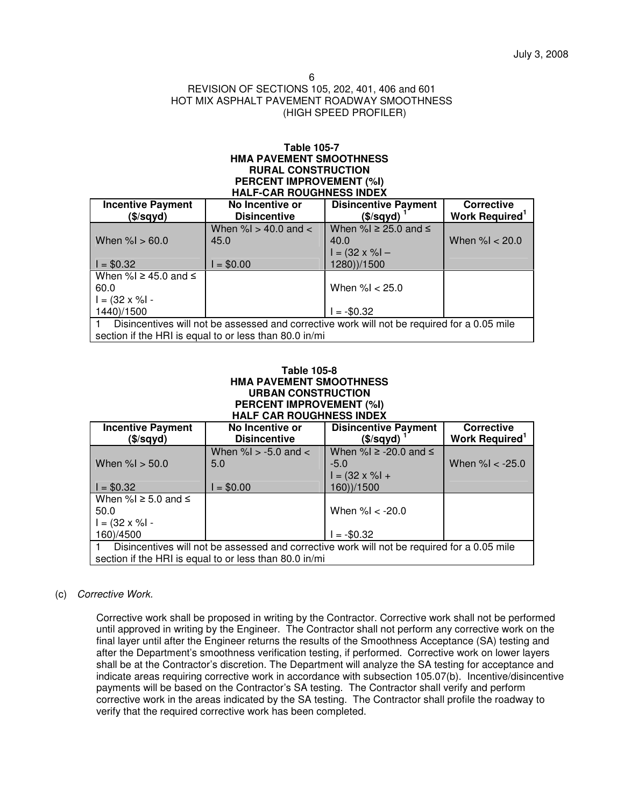#### **Table 105-7 HMA PAVEMENT SMOOTHNESS RURAL CONSTRUCTION PERCENT IMPROVEMENT (%I) HALF-CAR ROUGHNESS INDEX**

| <b>Incentive Payment</b><br>(\$/sqyd)                                                       | No Incentive or<br><b>Disincentive</b> | <b>Disincentive Payment</b><br>(\$/sqyd) | <b>Corrective</b><br>Work Required <sup>1</sup> |  |  |
|---------------------------------------------------------------------------------------------|----------------------------------------|------------------------------------------|-------------------------------------------------|--|--|
|                                                                                             | When % $> 40.0$ and $<$                | When %I $\geq$ 25.0 and $\leq$           |                                                 |  |  |
|                                                                                             |                                        |                                          |                                                 |  |  |
| When $\%$ $> 60.0$                                                                          | 45.0                                   | 40.0                                     | When $\%$ $<$ 20.0                              |  |  |
|                                                                                             |                                        | $I = (32 \times \% I -$                  |                                                 |  |  |
| $I = $0.32$                                                                                 | $= $0.00$                              | 1280))/1500                              |                                                 |  |  |
| When %I $\geq$ 45.0 and $\leq$                                                              |                                        |                                          |                                                 |  |  |
| 60.0                                                                                        |                                        | When $% < 25.0$                          |                                                 |  |  |
| $I = (32 \times \% I -$                                                                     |                                        |                                          |                                                 |  |  |
| 1440)/1500                                                                                  |                                        | $= -\$0.32$                              |                                                 |  |  |
| Disincentives will not be assessed and corrective work will not be required for a 0.05 mile |                                        |                                          |                                                 |  |  |
| section if the HRI is equal to or less than 80.0 in/mi                                      |                                        |                                          |                                                 |  |  |

## **Table 105-8 HMA PAVEMENT SMOOTHNESS URBAN CONSTRUCTION PERCENT IMPROVEMENT (%I) HALF CAR ROUGHNESS INDEX**

| <b>Incentive Payment</b><br>(\$/sqyd)                                                       | No Incentive or<br><b>Disincentive</b> | <b>Disincentive Payment</b><br>(\$/sqyd) | <b>Corrective</b><br>Work Required <sup>1</sup> |  |  |
|---------------------------------------------------------------------------------------------|----------------------------------------|------------------------------------------|-------------------------------------------------|--|--|
| When $\%$ $>$ 50.0                                                                          | When $\%$ $>$ -5.0 and $<$<br>5.0      | When %I $\ge$ -20.0 and $\le$<br>$-5.0$  | When $% < -25.0$                                |  |  |
|                                                                                             |                                        | $I = (32 \times \%I +$                   |                                                 |  |  |
| $I = $0.32$                                                                                 | $= $0.00$                              | 160))/1500                               |                                                 |  |  |
| When %I $\ge$ 5.0 and $\le$                                                                 |                                        |                                          |                                                 |  |  |
| 50.0                                                                                        |                                        | When $% < -20.0$                         |                                                 |  |  |
| $I = (32 \times \% I -$                                                                     |                                        |                                          |                                                 |  |  |
| 160)/4500                                                                                   |                                        | $= -\$0.32$                              |                                                 |  |  |
| Disincentives will not be assessed and corrective work will not be required for a 0.05 mile |                                        |                                          |                                                 |  |  |
| section if the HRI is equal to or less than 80.0 in/mi                                      |                                        |                                          |                                                 |  |  |

# (c) Corrective Work.

Corrective work shall be proposed in writing by the Contractor. Corrective work shall not be performed until approved in writing by the Engineer. The Contractor shall not perform any corrective work on the final layer until after the Engineer returns the results of the Smoothness Acceptance (SA) testing and after the Department's smoothness verification testing, if performed. Corrective work on lower layers shall be at the Contractor's discretion. The Department will analyze the SA testing for acceptance and indicate areas requiring corrective work in accordance with subsection 105.07(b). Incentive/disincentive payments will be based on the Contractor's SA testing. The Contractor shall verify and perform corrective work in the areas indicated by the SA testing. The Contractor shall profile the roadway to verify that the required corrective work has been completed.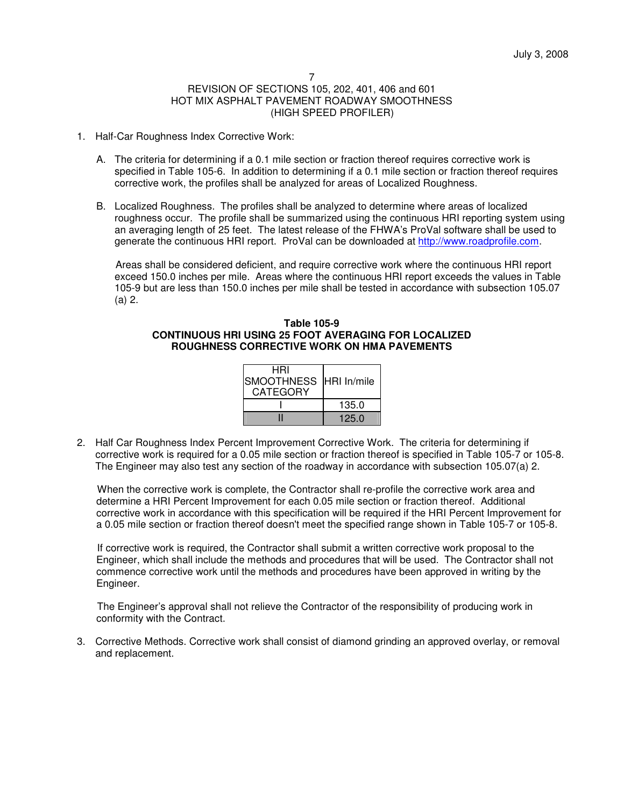- 1. Half-Car Roughness Index Corrective Work:
	- A. The criteria for determining if a 0.1 mile section or fraction thereof requires corrective work is specified in Table 105-6. In addition to determining if a 0.1 mile section or fraction thereof requires corrective work, the profiles shall be analyzed for areas of Localized Roughness.
	- B. Localized Roughness. The profiles shall be analyzed to determine where areas of localized roughness occur. The profile shall be summarized using the continuous HRI reporting system using an averaging length of 25 feet. The latest release of the FHWA's ProVal software shall be used to generate the continuous HRI report. ProVal can be downloaded at http://www.roadprofile.com.

Areas shall be considered deficient, and require corrective work where the continuous HRI report exceed 150.0 inches per mile. Areas where the continuous HRI report exceeds the values in Table 105-9 but are less than 150.0 inches per mile shall be tested in accordance with subsection 105.07 (a) 2.

## **Table 105-9 CONTINUOUS HRI USING 25 FOOT AVERAGING FOR LOCALIZED ROUGHNESS CORRECTIVE WORK ON HMA PAVEMENTS**

| HRI<br>SMOOTHNESS HRI In/mile<br><b>CATEGORY</b> |       |  |
|--------------------------------------------------|-------|--|
|                                                  | 135.0 |  |
|                                                  | 125.0 |  |

2. Half Car Roughness Index Percent Improvement Corrective Work. The criteria for determining if corrective work is required for a 0.05 mile section or fraction thereof is specified in Table 105-7 or 105-8. The Engineer may also test any section of the roadway in accordance with subsection 105.07(a) 2.

When the corrective work is complete, the Contractor shall re-profile the corrective work area and determine a HRI Percent Improvement for each 0.05 mile section or fraction thereof. Additional corrective work in accordance with this specification will be required if the HRI Percent Improvement for a 0.05 mile section or fraction thereof doesn't meet the specified range shown in Table 105-7 or 105-8.

If corrective work is required, the Contractor shall submit a written corrective work proposal to the Engineer, which shall include the methods and procedures that will be used. The Contractor shall not commence corrective work until the methods and procedures have been approved in writing by the Engineer.

The Engineer's approval shall not relieve the Contractor of the responsibility of producing work in conformity with the Contract.

3. Corrective Methods. Corrective work shall consist of diamond grinding an approved overlay, or removal and replacement.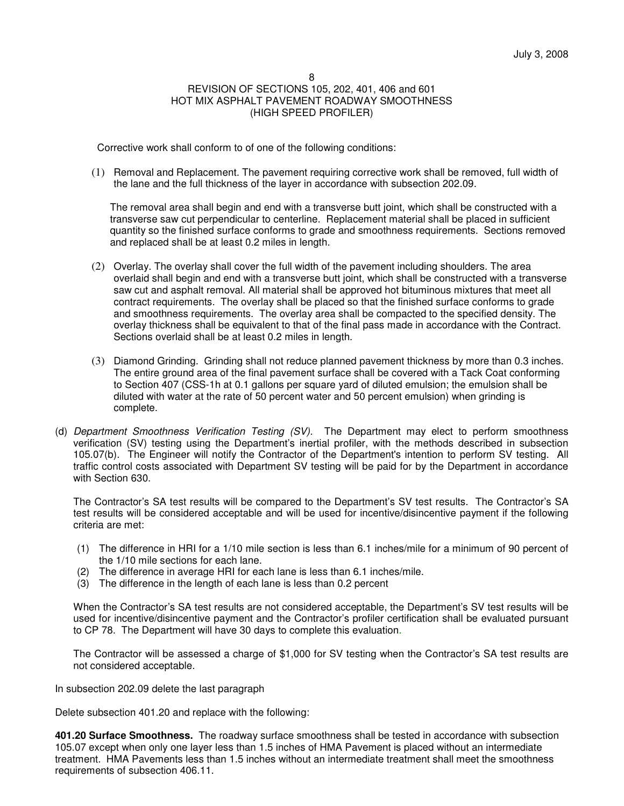Corrective work shall conform to of one of the following conditions:

(1) Removal and Replacement. The pavement requiring corrective work shall be removed, full width of the lane and the full thickness of the layer in accordance with subsection 202.09.

The removal area shall begin and end with a transverse butt joint, which shall be constructed with a transverse saw cut perpendicular to centerline. Replacement material shall be placed in sufficient quantity so the finished surface conforms to grade and smoothness requirements. Sections removed and replaced shall be at least 0.2 miles in length.

- (2) Overlay. The overlay shall cover the full width of the pavement including shoulders. The area overlaid shall begin and end with a transverse butt joint, which shall be constructed with a transverse saw cut and asphalt removal. All material shall be approved hot bituminous mixtures that meet all contract requirements. The overlay shall be placed so that the finished surface conforms to grade and smoothness requirements. The overlay area shall be compacted to the specified density. The overlay thickness shall be equivalent to that of the final pass made in accordance with the Contract. Sections overlaid shall be at least 0.2 miles in length.
- (3) Diamond Grinding. Grinding shall not reduce planned pavement thickness by more than 0.3 inches. The entire ground area of the final pavement surface shall be covered with a Tack Coat conforming to Section 407 (CSS-1h at 0.1 gallons per square yard of diluted emulsion; the emulsion shall be diluted with water at the rate of 50 percent water and 50 percent emulsion) when grinding is complete.
- (d) Department Smoothness Verification Testing (SV). The Department may elect to perform smoothness verification (SV) testing using the Department's inertial profiler, with the methods described in subsection 105.07(b). The Engineer will notify the Contractor of the Department's intention to perform SV testing. All traffic control costs associated with Department SV testing will be paid for by the Department in accordance with Section 630.

The Contractor's SA test results will be compared to the Department's SV test results. The Contractor's SA test results will be considered acceptable and will be used for incentive/disincentive payment if the following criteria are met:

- (1) The difference in HRI for a 1/10 mile section is less than 6.1 inches/mile for a minimum of 90 percent of the 1/10 mile sections for each lane.
- (2) The difference in average HRI for each lane is less than 6.1 inches/mile.
- (3) The difference in the length of each lane is less than 0.2 percent

When the Contractor's SA test results are not considered acceptable, the Department's SV test results will be used for incentive/disincentive payment and the Contractor's profiler certification shall be evaluated pursuant to CP 78. The Department will have 30 days to complete this evaluation.

The Contractor will be assessed a charge of \$1,000 for SV testing when the Contractor's SA test results are not considered acceptable.

In subsection 202.09 delete the last paragraph

Delete subsection 401.20 and replace with the following:

**401.20 Surface Smoothness.** The roadway surface smoothness shall be tested in accordance with subsection 105.07 except when only one layer less than 1.5 inches of HMA Pavement is placed without an intermediate treatment. HMA Pavements less than 1.5 inches without an intermediate treatment shall meet the smoothness requirements of subsection 406.11.